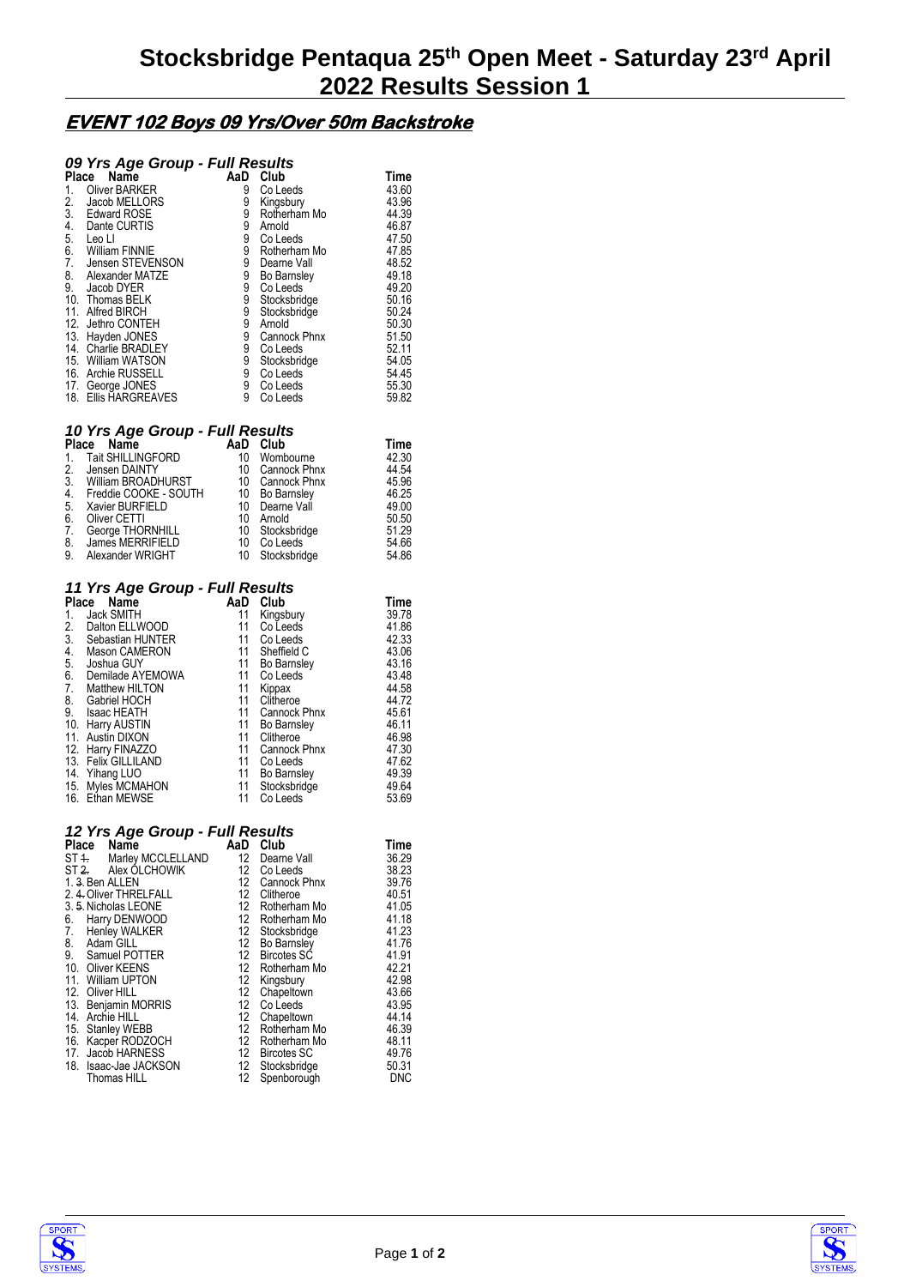## **EVENT 102 Boys 09 Yrs/Over 50m Backstroke**

### *09 Yrs Age Group - Full Results*

| Place<br>Name |                       | AaD | Club               | Time  |
|---------------|-----------------------|-----|--------------------|-------|
| 1.            | <b>Oliver BARKER</b>  | 9   | Co Leeds           | 43.60 |
| 2.            | Jacob MELLORS         | 9   | Kingsbury          | 43.96 |
| 3.            | <b>Edward ROSE</b>    | 9   | Rotherham Mo       | 44.39 |
| 4.            | Dante CURTIS          | 9   | Arnold             | 46.87 |
| 5.            | Leo Ll                | 9   | Co Leeds           | 47.50 |
| 6.            | <b>William FINNIE</b> | 9   | Rotherham Mo       | 47.85 |
| 7.            | Jensen STEVENSON      | 9   | Dearne Vall        | 48.52 |
| 8.            | Alexander MATZE       | 9   | <b>Bo Barnsley</b> | 49.18 |
| 9.            | Jacob DYER            | 9   | Co Leeds           | 49.20 |
|               | 10. Thomas BELK       | 9   | Stocksbridge       | 50.16 |
| 11.           | Alfred BIRCH          | 9   | Stocksbridge       | 50.24 |
| 12.           | Jethro CONTEH         | 9   | Arnold             | 50.30 |
| 13.           | Hayden JONES          | 9   | Cannock Phnx       | 51.50 |
|               | 14. Charlie BRADLEY   | 9   | Co Leeds           | 52.11 |
|               | 15. William WATSON    | 9   | Stocksbridge       | 54.05 |
|               | 16. Archie RUSSELL    | 9   | Co Leeds           | 54.45 |
|               | 17. George JONES      | 9   | Co Leeds           | 55.30 |
|               | 18. Ellis HARGREAVES  | 9   | Co Leeds           | 59.82 |

#### *10 Yrs Age Group - Full Results*

| Place<br>Name            |                  | Club         | Time                                                                                        |
|--------------------------|------------------|--------------|---------------------------------------------------------------------------------------------|
| <b>Tait SHILLINGFORD</b> | 10               | Wombourne    | 42.30                                                                                       |
| Jensen DAINTY            | 10               | Cannock Phnx | 44.54                                                                                       |
| 3. William BROADHURST    | 10               |              | 45.96                                                                                       |
| Freddie COOKE - SOUTH    | 10               |              | 46.25                                                                                       |
| Xavier BURFIELD          | 10               |              | 49.00                                                                                       |
| Oliver CETTI             | 10               |              | 50.50                                                                                       |
| George THORNHILL         | 10               |              | 51.29                                                                                       |
|                          | 10               | Co Leeds     | 54.66                                                                                       |
| Alexander WRIGHT         | 10               |              | 54.86                                                                                       |
|                          | James MERRIFIELD | AaD          | Cannock Phnx<br><b>Bo Barnsley</b><br>Dearne Vall<br>Arnold<br>Stocksbridge<br>Stocksbridge |

#### *11 Yrs Age Group - Full Results*

| Place<br>Name   |                     | AaD | Club               | Time  |  |
|-----------------|---------------------|-----|--------------------|-------|--|
| 1.              | Jack SMITH          | 11  | Kingsbury          | 39.78 |  |
| $\frac{2}{3}$ . | Dalton ELLWOOD      | 11  | Co Leeds           | 41.86 |  |
|                 | Sebastian HUNTER    | 11  | Co Leeds           | 42.33 |  |
| 4.              | Mason CAMERON       | 11  | Sheffield C        | 43.06 |  |
| 5.              | Joshua GUY          | 11  | <b>Bo Barnsley</b> | 43.16 |  |
| 6.              | Demilade AYEMOWA    | 11  | Co Leeds           | 43.48 |  |
| 7.              | Matthew HILTON      | 11  | Kippax             | 44.58 |  |
| 8.              | Gabriel HOCH        | 11  | Clitheroe          | 44.72 |  |
| 9.              | Isaac HEATH         | 11  | Cannock Phnx       | 45.61 |  |
|                 | 10. Harry AUSTIN    | 11  | Bo Barnsley        | 46.11 |  |
|                 | 11. Austin DIXON    | 11  | Clitheroe          | 46.98 |  |
|                 | 12. Harry FINAZZO   | 11  | Cannock Phnx       | 47.30 |  |
|                 | 13. Felix GILLILAND | 11  | Co Leeds           | 47.62 |  |
|                 | 14. Yihang LUO      | 11  | <b>Bo Barnsley</b> | 49.39 |  |
|                 | 15. Myles MCMAHON   | 11  | Stocksbridge       | 49.64 |  |
|                 | 16. Ethan MEWSE     | 11  | Co Leeds           | 53.69 |  |

#### *12 Yrs Age Group - Full Results*

| Name |                                                                                                                                                                                                                                                                                                                                            |                                                               | Club                                                                                                                | Time                                             |
|------|--------------------------------------------------------------------------------------------------------------------------------------------------------------------------------------------------------------------------------------------------------------------------------------------------------------------------------------------|---------------------------------------------------------------|---------------------------------------------------------------------------------------------------------------------|--------------------------------------------------|
|      |                                                                                                                                                                                                                                                                                                                                            | 12 <sup>12</sup>                                              | Dearne Vall                                                                                                         | 36.29                                            |
|      |                                                                                                                                                                                                                                                                                                                                            |                                                               | Co Leeds                                                                                                            | 38.23                                            |
|      |                                                                                                                                                                                                                                                                                                                                            |                                                               | Cannock Phnx                                                                                                        | 39.76                                            |
|      |                                                                                                                                                                                                                                                                                                                                            |                                                               | Clitheroe                                                                                                           | 40.51                                            |
|      |                                                                                                                                                                                                                                                                                                                                            | 12 <sup>12</sup>                                              | Rotherham Mo                                                                                                        | 41.05                                            |
|      |                                                                                                                                                                                                                                                                                                                                            | 12                                                            | Rotherham Mo                                                                                                        | 41.18                                            |
|      |                                                                                                                                                                                                                                                                                                                                            | 12                                                            | Stocksbridge                                                                                                        | 41.23                                            |
|      |                                                                                                                                                                                                                                                                                                                                            | 12                                                            |                                                                                                                     | 41.76                                            |
|      |                                                                                                                                                                                                                                                                                                                                            |                                                               | <b>Bircotes SC</b>                                                                                                  | 41.91                                            |
|      |                                                                                                                                                                                                                                                                                                                                            | 12                                                            | Rotherham Mo                                                                                                        | 42.21                                            |
|      |                                                                                                                                                                                                                                                                                                                                            |                                                               | Kingsbury                                                                                                           | 42.98                                            |
|      |                                                                                                                                                                                                                                                                                                                                            | 12 <sup>12</sup>                                              | Chapeltown                                                                                                          | 43.66                                            |
|      |                                                                                                                                                                                                                                                                                                                                            |                                                               | Co Leeds                                                                                                            | 43.95                                            |
|      |                                                                                                                                                                                                                                                                                                                                            |                                                               | Chapeltown                                                                                                          | 44.14                                            |
|      |                                                                                                                                                                                                                                                                                                                                            | 12                                                            | Rotherham Mo                                                                                                        | 46.39                                            |
|      |                                                                                                                                                                                                                                                                                                                                            |                                                               | Rotherham Mo                                                                                                        | 48.11                                            |
|      |                                                                                                                                                                                                                                                                                                                                            |                                                               | <b>Bircotes SC</b>                                                                                                  | 49.76                                            |
|      |                                                                                                                                                                                                                                                                                                                                            |                                                               |                                                                                                                     | 50.31                                            |
|      |                                                                                                                                                                                                                                                                                                                                            |                                                               |                                                                                                                     | <b>DNC</b>                                       |
|      | Place<br>ST <sub>4</sub><br>1.3. Ben ALLEN<br>2. 4. Oliver THRELFALL<br>3.5. Nicholas LEONE<br>Harry DENWOOD<br>Henley WALKER<br>Adam GILL<br>Samuel POTTER<br>10. Oliver KEENS<br>11. William UPTON<br>12. Oliver HILL<br>13. Benjamin MORRIS<br>Archie HILL<br><b>Stanley WEBB</b><br>Kacper RODZOCH<br>17. Jacob HARNESS<br>Thomas HILL | Marley MCCLELLAND<br>ST 2. Alex OLCHOWIK<br>Isaac-Jae JACKSON | AaD<br>12<br>12 <sup>°</sup><br>12 <sup>°</sup><br>12<br>12<br>12<br>12<br>12 <sup>°</sup><br>12<br>12 <sup>2</sup> | Bo Barnsley<br>12<br>Stocksbridge<br>Spenborough |